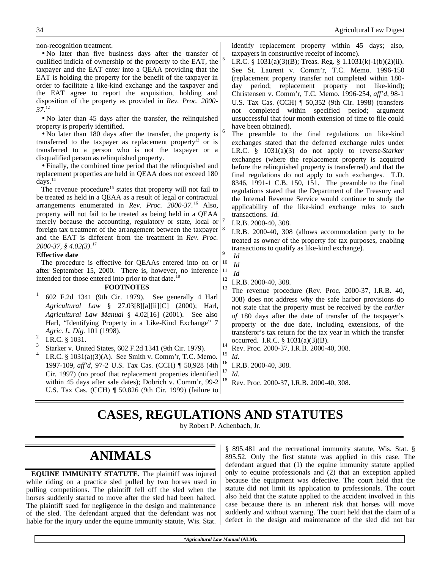| non-recognition treatment.<br>. No later than five business days after the transfer of<br>qualified indicia of ownership of the property to the EAT, the<br>taxpayer and the EAT enter into a QEAA providing that the<br>EAT is holding the property for the benefit of the taxpayer in<br>order to facilitate a like-kind exchange and the taxpayer and<br>the EAT agree to report the acquisition, holding and<br>disposition of the property as provided in Rev. Proc. 2000-<br>37.12<br>• No later than 45 days after the transfer, the relinquished<br>property is properly identified.<br>• No later than 180 days after the transfer, the property is<br>transferred to the taxpayer as replacement property <sup>13</sup> or is<br>transferred to a person who is not the taxpayer or a<br>disqualified person as relinquished property.<br>• Finally, the combined time period that the relinquished and<br>replacement properties are held in QEAA does not exceed 180<br>days. $14$<br>The revenue procedure <sup>15</sup> states that property will not fail to<br>be treated as held in a QEAA as a result of legal or contractual<br>arrangements enumerated in Rev. Proc. 2000-37. <sup>16</sup> Also,<br>property will not fail to be treated as being held in a QEAA<br>merely because the accounting, regulatory or state, local or<br>foreign tax treatment of the arrangement between the taxpayer $8$<br>and the EAT is different from the treatment in Rev. Proc.<br>2000-37, § 4.02(3). <sup>17</sup><br><b>Effective date</b><br>The procedure is effective for QEAAs entered into on or $10$ | 5<br>6<br>9                                  | identify replacement property within 45 days; also,<br>taxpayers in constructive receipt of income).<br>I.R.C. § 1031(a)(3)(B); Treas. Reg. § 1.1031(k)-1(b)(2)(ii).<br>See St. Laurent v. Comm'r, T.C. Memo. 1996-150<br>(replacement property transfer not completed within 180-<br>day period; replacement property not like-kind);<br>Christensen v. Comm'r, T.C. Memo. 1996-254, aff'd, 98-1<br>U.S. Tax Cas. (CCH)   50,352 (9th Cir. 1998) (transfers<br>not completed within specified period;<br>argument<br>unsuccessful that four month extension of time to file could<br>have been obtained).<br>The preamble to the final regulations on like-kind<br>exchanges stated that the deferred exchange rules under<br>I.R.C. $§$ 1031(a)(3) do not apply to reverse-Starker<br>exchanges (where the replacement property is acquired<br>before the relinquished property is transferred) and that the<br>final regulations do not apply to such exchanges. T.D.<br>8346, 1991-1 C.B. 150, 151. The preamble to the final<br>regulations stated that the Department of the Treasury and<br>the Internal Revenue Service would continue to study the<br>applicability of the like-kind exchange rules to such<br>transactions. Id.<br>I.R.B. 2000-40, 308.<br>I.R.B. 2000-40, 308 (allows accommodation party to be<br>treated as owner of the property for tax purposes, enabling<br>transactions to qualify as like-kind exchange).<br>Id<br>Id |
|-----------------------------------------------------------------------------------------------------------------------------------------------------------------------------------------------------------------------------------------------------------------------------------------------------------------------------------------------------------------------------------------------------------------------------------------------------------------------------------------------------------------------------------------------------------------------------------------------------------------------------------------------------------------------------------------------------------------------------------------------------------------------------------------------------------------------------------------------------------------------------------------------------------------------------------------------------------------------------------------------------------------------------------------------------------------------------------------------------------------------------------------------------------------------------------------------------------------------------------------------------------------------------------------------------------------------------------------------------------------------------------------------------------------------------------------------------------------------------------------------------------------------------------------------------------------------------------------------------------------------|----------------------------------------------|----------------------------------------------------------------------------------------------------------------------------------------------------------------------------------------------------------------------------------------------------------------------------------------------------------------------------------------------------------------------------------------------------------------------------------------------------------------------------------------------------------------------------------------------------------------------------------------------------------------------------------------------------------------------------------------------------------------------------------------------------------------------------------------------------------------------------------------------------------------------------------------------------------------------------------------------------------------------------------------------------------------------------------------------------------------------------------------------------------------------------------------------------------------------------------------------------------------------------------------------------------------------------------------------------------------------------------------------------------------------------------------------------------------------------------------------------------|
| after September 15, 2000. There is, however, no inference<br>intended for those entered into prior to that date. <sup>18</sup><br><b>FOOTNOTES</b><br>$\mathbf{1}$<br>602 F.2d 1341 (9th Cir. 1979). See generally 4 Harl<br>Agricultural Law § 27.03[8][a][ii][C] (2000); Harl,<br>Agricultural Law Manual § 4.02[16] (2001). See also<br>Harl, "Identifying Property in a Like-Kind Exchange" 7<br>Agric. L. Dig. 101 (1998).<br>$\overline{c}$<br>I.R.C. § 1031.<br>3<br>Starker v. United States, 602 F.2d 1341 (9th Cir. 1979).<br>$\overline{4}$<br>I.R.C. $\S$ 1031(a)(3)(A). See Smith v. Comm'r, T.C. Memo.<br>1997-109, aff'd, 97-2 U.S. Tax Cas. (CCH) ¶ 50,928 (4th<br>Cir. 1997) (no proof that replacement properties identified<br>within 45 days after sale dates); Dobrich v. Comm'r, 99-2<br>U.S. Tax Cas. (CCH)   50,826 (9th Cir. 1999) (failure to                                                                                                                                                                                                                                                                                                                                                                                                                                                                                                                                                                                                                                                                                                                                               | 11<br>12<br>13<br>14<br>15<br>16<br>17<br>18 | $\it{Id}$<br>I.R.B. 2000-40, 308.<br>The revenue procedure (Rev. Proc. 2000-37, I.R.B. 40,<br>308) does not address why the safe harbor provisions do<br>not state that the property must be received by the <i>earlier</i><br>of 180 days after the date of transfer of the taxpayer's<br>property or the due date, including extensions, of the<br>transferor's tax return for the tax year in which the transfer<br>occurred. I.R.C. $\S 1031(a)(3)(B)$ .<br>Rev. Proc. 2000-37, I.R.B. 2000-40, 308.<br>Id.<br>I.R.B. 2000-40, 308.<br>Id.<br>Rev. Proc. 2000-37, I.R.B. 2000-40, 308.                                                                                                                                                                                                                                                                                                                                                                                                                                                                                                                                                                                                                                                                                                                                                                                                                                                               |

## **CASES, REGULATIONS AND STATUTES**

by Robert P. Achenbach, Jr.

## **ANIMALS**

**EQUINE IMMUNITY STATUTE.** The plaintiff was injured while riding on a practice sled pulled by two horses used in pulling competitions. The plaintiff fell off the sled when the horses suddenly started to move after the sled had been halted. The plaintiff sued for negligence in the design and maintenance of the sled. The defendant argued that the defendant was not liable for the injury under the equine immunity statute, Wis. Stat.

§ 895.481 and the recreational immunity statute, Wis. Stat. § 895.52. Only the first statute was applied in this case. The defendant argued that (1) the equine immunity statute applied only to equine professionals and (2) that an exception applied because the equipment was defective. The court held that the statute did not limit its application to professionals. The court also held that the statute applied to the accident involved in this case because there is an inherent risk that horses will move suddenly and without warning. The court held that the claim of a defect in the design and maintenance of the sled did not bar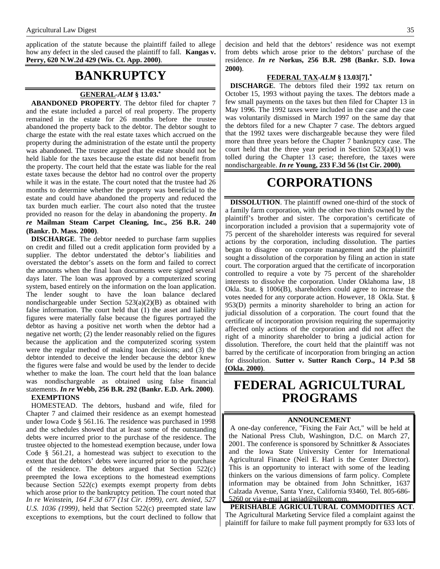application of the statute because the plaintiff failed to allege how any defect in the sled caused the plaintiff to fall. **Kangas v. Perry, 620 N.W.2d 429 (Wis. Ct. App. 2000)**.

### **BANKRUPTCY**

#### **GENERAL -***ALM* **§ 13.03.\***

**ABANDONED PROPERTY**. The debtor filed for chapter 7 and the estate included a parcel of real property. The property remained in the estate for 26 months before the trustee abandoned the property back to the debtor. The debtor sought to charge the estate with the real estate taxes which accrued on the property during the administration of the estate until the property was abandoned. The trustee argued that the estate should not be held liable for the taxes because the estate did not benefit from the property. The court held that the estate was liable for the real estate taxes because the debtor had no control over the property while it was in the estate. The court noted that the trustee had 26 months to determine whether the property was beneficial to the estate and could have abandoned the property and reduced the tax burden much earlier. The court also noted that the trustee provided no reason for the delay in abandoning the property. *In re* **Mailman Steam Carpet Cleaning, Inc., 256 B.R. 240 (Bankr. D. Mass. 2000)**.

**DISCHARGE**. The debtor needed to purchase farm supplies on credit and filled out a credit application form provided by a supplier. The debtor understated the debtor's liabilities and overstated the debtor's assets on the form and failed to correct the amounts when the final loan documents were signed several days later. The loan was approved by a computerized scoring system, based entirely on the information on the loan application. The lender sought to have the loan balance declared nondischargeable under Section 523(a)(2)(B) as obtained with false information. The court held that (1) the asset and liability figures were materially false because the figures portrayed the debtor as having a positive net worth when the debtor had a negative net worth; (2) the lender reasonably relied on the figures because the application and the computerized scoring system were the regular method of making loan decisions; and (3) the debtor intended to deceive the lender because the debtor knew the figures were false and would be used by the lender to decide whether to make the loan. The court held that the loan balance was nondischargeable as obtained using false financial statements. *In re* **Webb, 256 B.R. 292 (Bankr. E.D. Ark. 2000)**. **EXEMPTIONS**

HOMESTEAD. The debtors, husband and wife, filed for Chapter 7 and claimed their residence as an exempt homestead under Iowa Code § 561.16. The residence was purchased in 1998 and the schedules showed that at least some of the outstanding debts were incurred prior to the purchase of the residence. The trustee objected to the homestead exemption because, under Iowa Code § 561.21, a homestead was subject to execution to the extent that the debtors' debts were incurred prior to the purchase of the residence. The debtors argued that Section 522(c) preempted the Iowa exceptions to the homestead exemptions because Section 522(c) exempts exempt property from debts which arose prior to the bankruptcy petition. The court noted that *In re Weinstein, 164 F.3d 677 (1st Cir. 1999), cert. denied, 527 U.S. 1036 (1999)*, held that Section 522(c) preempted state law exceptions to exemptions, but the court declined to follow that decision and held that the debtors' residence was not exempt from debts which arose prior to the debtors' purchase of the residence. *In re* **Norkus, 256 B.R. 298 (Bankr. S.D. Iowa 2000)**.

#### **FEDERAL TAX -***ALM* **§ 13.03[7].\***

**DISCHARGE**. The debtors filed their 1992 tax return on October 15, 1993 without paying the taxes. The debtors made a few small payments on the taxes but then filed for Chapter 13 in May 1996. The 1992 taxes were included in the case and the case was voluntarily dismissed in March 1997 on the same day that the debtors filed for a new Chapter 7 case. The debtors argued that the 1992 taxes were dischargeable because they were filed more than three years before the Chapter 7 bankruptcy case. The court held that the three year period in Section  $523(a)(1)$  was tolled during the Chapter 13 case; therefore, the taxes were nondischargeable. *In re* **Young, 233 F.3d 56 (1st Cir. 2000)**.

### **CORPORATIONS**

**DISSOLUTION**. The plaintiff owned one-third of the stock of a family farm corporation, with the other two thirds owned by the plaintiff's brother and sister. The corporation's certificate of incorporation included a provision that a supermajority vote of 75 percent of the shareholder interests was required for several actions by the corporation, including dissolution. The parties began to disagree on corporate management and the plaintiff sought a dissolution of the corporation by filing an action in state court. The corporation argued that the certificate of incorporation controlled to require a vote by 75 percent of the shareholder interests to dissolve the corporation. Under Oklahoma law, 18 Okla. Stat. § 1006(B), shareholders could agree to increase the votes needed for any corporate action. However, 18 Okla. Stat. § 953(D) permits a minority shareholder to bring an action for judicial dissolution of a corporation. The court found that the certificate of incorporation provision requiring the supermajority affected only actions of the corporation and did not affect the right of a minority shareholder to bring a judicial action for dissolution. Therefore, the court held that the plaintiff was not barred by the certificate of incorporation from bringing an action for dissolution. **Sutter v. Sutter Ranch Corp., 14 P.3d 58 (Okla. 2000)**.

### **FEDERAL AGRICULTURAL PROGRAMS**

#### **ANNOUNCEMENT**

A one-day conference, "Fixing the Fair Act," will be held at the National Press Club, Washington, D.C. on March 27, 2001. The conference is sponsored by Schnittker & Associates and the Iowa State University Center for International Agricultural Finance (Neil E. Harl is the Center Director). This is an opportunity to interact with some of the leading thinkers on the various dimensions of farm policy. Complete information may be obtained from John Schnittker, 1637 Calzada Avenue, Santa Ynez, California 93460, Tel. 805-686- 5260 or via e-mail at jasjad@silcom.com.

**PERISHABLE AGRICULTURAL COMMODITIES ACT**. The Agricultural Marketing Service filed a complaint against the plaintiff for failure to make full payment promptly for 633 lots of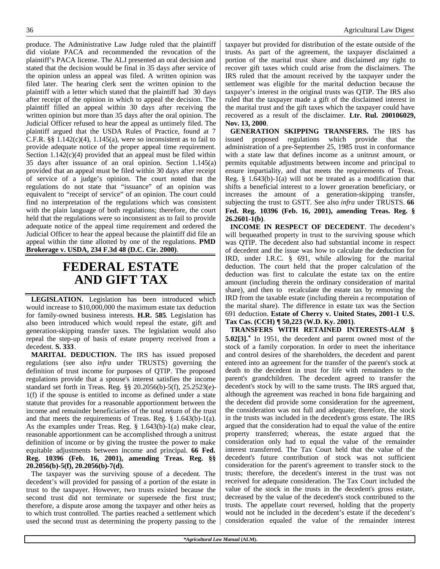produce. The Administrative Law Judge ruled that the plaintiff did violate PACA and recommended the revocation of the plaintiff's PACA license. The ALJ presented an oral decision and stated that the decision would be final in 35 days after service of the opinion unless an appeal was filed. A written opinion was filed later. The hearing clerk sent the written opinion to the plaintiff with a letter which stated that the plaintiff had 30 days after receipt of the opinion in which to appeal the decision. The plaintiff filled an appeal within 30 days after receiving the written opinion but more than 35 days after the oral opinion. The Judicial Officer refused to hear the appeal as untimely filed. The plaintiff argued that the USDA Rules of Practice, found at 7 C.F.R.  $\S$ § 1.142(c)(4), 1.145(a), were so inconsistent as to fail to provide adequate notice of the proper appeal time requirement. Section  $1.142(c)(4)$  provided that an appeal must be filed within 35 days after issuance of an oral opinion. Section 1.145(a) provided that an appeal must be filed within 30 days after receipt of service of a judge's opinion. The court noted that the regulations do not state that "issuance" of an opinion was equivalent to "receipt of service" of an opinion. The court could find no interpretation of the regulations which was consistent with the plain language of both regulations; therefore, the court held that the regulations were so inconsistent as to fail to provide adequate notice of the appeal time requirement and ordered the Judicial Officer to hear the appeal because the plaintiff did file an appeal within the time allotted by one of the regulations. **PMD Brokerage v. USDA, 234 F.3d 48 (D.C. Cir. 2000)**.

### **FEDERAL ESTATE AND GIFT TAX**

**LEGISLATION.** Legislation has been introduced which would increase to \$10,000,000 the maximum estate tax deduction for family-owned business interests. **H.R. 585**. Legislation has also been introduced which would repeal the estate, gift and generation-skipping transfer taxes. The legislation would also repeal the step-up of basis of estate property received from a decedent. **S. 333**.

**MARITAL DEDUCTION.** The IRS has issued proposed regulations (see also *infra* under TRUSTS) governing the definition of trust income for purposes of QTIP. The proposed regulations provide that a spouse's interest satisfies the income standard set forth in Treas. Reg. §§ 20.2056(b)-5(f), 25.2523(e)- 1(f) if the spouse is entitled to income as defined under a state statute that provides for a reasonable apportionment between the income and remainder beneficiaries of the total return of the trust and that meets the requirements of Treas. Reg. § 1.643(b)-1(a). As the examples under Treas. Reg. § 1.643(b)-1(a) make clear, reasonable apportionment can be accomplished through a unitrust definition of income or by giving the trustee the power to make equitable adjustments between income and principal. **66 Fed. Reg. 10396 (Feb. 16, 2001), amending Treas. Reg. §§ 20.2056(b)-5(f), 20.2056(b)-7(d).**

The taxpayer was the surviving spouse of a decedent. The decedent's will provided for passing of a portion of the estate in trust to the taxpayer. However, two trusts existed because the second trust did not terminate or supersede the first trust; therefore, a dispute arose among the taxpayer and other heirs as to which trust controlled. The parties reached a settlement which used the second trust as determining the property passing to the taxpayer but provided for distribution of the estate outside of the trusts. As part of the agreement, the taxpayer disclaimed a portion of the marital trust share and disclaimed any right to recover gift taxes which could arise from the disclaimers. The IRS ruled that the amount received by the taxpayer under the settlement was eligible for the marital deduction because the taxpayer's interest in the original trusts was QTIP. The IRS also ruled that the taxpayer made a gift of the disclaimed interest in the marital trust and the gift taxes which the taxpayer could have recovered as a result of the disclaimer. **Ltr. Rul. 200106029, Nov. 13, 2000**.

**GENERATION SKIPPING TRANSFERS.** The IRS has issued proposed regulations which provide that the administration of a pre-September 25, 1985 trust in conformance with a state law that defines income as a unitrust amount, or permits equitable adjustments between income and principal to ensure impartiality, and that meets the requirements of Treas. Reg.  $\S$  1.643(b)-1(a) will not be treated as a modification that shifts a beneficial interest to a lower generation beneficiary, or increases the amount of a generation-skipping transfer, subjecting the trust to GSTT. See also *infra* under TRUSTS. **66 Fed. Reg. 10396 (Feb. 16, 2001), amending Treas. Reg. § 26.2601-1(b)**.

**INCOME IN RESPECT OF DECEDENT**. The decedent's will bequeathed property in trust to the surviving spouse which was QTIP. The decedent also had substantial income in respect of decedent and the issue was how to calculate the deduction for IRD, under I.R.C. § 691, while allowing for the marital deduction. The court held that the proper calculation of the deduction was first to calculate the estate tax on the entire amount (including therein the ordinary consideration of marital share), and then to recalculate the estate tax by removing the IRD from the taxable estate (including therein a recomputation of the marital share). The difference in estate tax was the Section 691 deduction. **Estate of Cherry v. United States, 2001-1 U.S. Tax Cas. (CCH) ¶ 50,223 (W.D. Ky. 2001)**.

**TRANSFERS WITH RETAINED INTERESTS-***ALM* **§ 5.02[3].\*** In 1951, the decedent and parent owned most of the stock of a family corporation. In order to meet the inheritance and control desires of the shareholders, the decedent and parent entered into an agreement for the transfer of the parent's stock at death to the decedent in trust for life with remainders to the parent's grandchildren. The decedent agreed to transfer the decedent's stock by will to the same trusts. The IRS argued that, although the agreement was reached in bona fide bargaining and the decedent did provide some consideration for the agreement, the consideration was not full and adequate; therefore, the stock in the trusts was included in the decedent's gross estate. The IRS argued that the consideration had to equal the value of the entire property transferred; whereas, the estate argued that the consideration only had to equal the value of the remainder interest transferred. The Tax Court held that the value of the decedent's future contribution of stock was not sufficient consideration for the parent's agreement to transfer stock to the trusts; therefore, the decedent's interest in the trust was not received for adequate consideration. The Tax Court included the value of the stock in the trusts in the decedent's gross estate, decreased by the value of the decedent's stock contributed to the trusts. The appellate court reversed, holding that the property would not be included in the decedent's estate if the decedent's consideration equaled the value of the remainder interest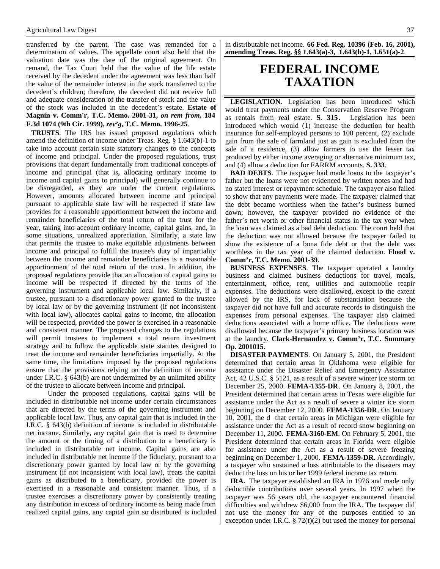#### Agricultural Law Digest 37

transferred by the parent. The case was remanded for a determination of values. The appellate court also held that the valuation date was the date of the original agreement. On remand, the Tax Court held that the value of the life estate received by the decedent under the agreement was less than half the value of the remainder interest in the stock transferred to the decedent's children; therefore, the decedent did not receive full and adequate consideration of the transfer of stock and the value of the stock was included in the decedent's estate. **Estate of Magnin v. Comm'r, T.C. Memo. 2001-31,** *on rem from***, 184 F.3d 1074 (9th Cir. 1999),** *rev'g***, T.C. Memo. 1996-25**.

**TRUSTS**. The IRS has issued proposed regulations which amend the definition of income under Treas. Reg. § 1.643(b)-1 to take into account certain state statutory changes to the concepts of income and principal. Under the proposed regulations, trust provisions that depart fundamentally from traditional concepts of income and principal (that is, allocating ordinary income to income and capital gains to principal) will generally continue to be disregarded, as they are under the current regulations. However, amounts allocated between income and principal pursuant to applicable state law will be respected if state law provides for a reasonable apportionment between the income and remainder beneficiaries of the total return of the trust for the year, taking into account ordinary income, capital gains, and, in some situations, unrealized appreciation. Similarly, a state law that permits the trustee to make equitable adjustments between income and principal to fulfill the trustee's duty of impartiality between the income and remainder beneficiaries is a reasonable apportionment of the total return of the trust. In addition, the proposed regulations provide that an allocation of capital gains to income will be respected if directed by the terms of the governing instrument and applicable local law. Similarly, if a trustee, pursuant to a discretionary power granted to the trustee by local law or by the governing instrument (if not inconsistent with local law), allocates capital gains to income, the allocation will be respected, provided the power is exercised in a reasonable and consistent manner. The proposed changes to the regulations will permit trustees to implement a total return investment strategy and to follow the applicable state statutes designed to treat the income and remainder beneficiaries impartially. At the same time, the limitations imposed by the proposed regulations ensure that the provisions relying on the definition of income under I.R.C. § 643(b) are not undermined by an unlimited ability of the trustee to allocate between income and principal.

 Under the proposed regulations, capital gains will be included in distributable net income under certain circumstances that are directed by the terms of the governing instrument and applicable local law. Thus, any capital gain that is included in the I.R.C. § 643(b) definition of income is included in distributable net income. Similarly, any capital gain that is used to determine the amount or the timing of a distribution to a beneficiary is included in distributable net income. Capital gains are also included in distributable net income if the fiduciary, pursuant to a discretionary power granted by local law or by the governing instrument (if not inconsistent with local law), treats the capital gains as distributed to a beneficiary, provided the power is exercised in a reasonable and consistent manner. Thus, if a trustee exercises a discretionary power by consistently treating any distribution in excess of ordinary income as being made from realized capital gains, any capital gain so distributed is included in distributable net income. **66 Fed. Reg. 10396 (Feb. 16, 2001), amending Treas. Reg. §§ 1.643(a)-3, 1.643(b)-1, 1.651(a)-2**.

### **FEDERAL INCOME TAXATION**

**LEGISLATION**. Legislation has been introduced which would treat payments under the Conservation Reserve Program as rentals from real estate. **S. 315** . Legislation has been introduced which would (1) increase the deduction for health insurance for self-employed persons to 100 percent, (2) exclude gain from the sale of farmland just as gain is excluded from the sale of a residence, (3) allow farmers to use the lesser tax produced by either income averaging or alternative minimum tax, and (4) allow a deduction for FARRM accounts. **S. 333**.

**BAD DEBTS**. The taxpayer had made loans to the taxpayer's father but the loans were not evidenced by written notes and had no stated interest or repayment schedule. The taxpayer also failed to show that any payments were made. The taxpayer claimed that the debt became worthless when the father's business burned down; however, the taxpayer provided no evidence of the father's net worth or other financial status in the tax year when the loan was claimed as a bad debt deduction. The court held that the deduction was not allowed because the taxpayer failed to show the existence of a bona fide debt or that the debt was worthless in the tax year of the claimed deduction. **Flood v. Comm'r, T.C. Memo. 2001-39**.

**BUSINESS EXPENSES**. The taxpayer operated a laundry business and claimed business deductions for travel, meals, entertainment, office, rent, utilities and automobile reapir expenses. The deductions were disallowed, except to the extent allowed by the IRS, for lack of substantiation because the taxpayer did not have full and accurate records to distinguish the expenses from personal expenses. The taxpayer also claimed deductions associated with a home office. The deductions were disallowed because the taxpayer's primary business location was at the laundry. **Clark-Hernandez v. Comm'r, T.C. Summary Op. 2001015**.

**DISASTER PAYMENTS**. On January 5, 2001, the President determined that certain areas in Oklahoma were eligible for assistance under the Disaster Relief and Emergency Assistance Act, 42 U.S.C. § 5121, as a result of a severe winter ice storm on December 25, 2000. **FEMA-1355-DR**. On January 8, 2001, the President determined that certain areas in Texas were eligible for assistance under the Act as a result of severe a winter ice storm beginning on December 12, 2000. **FEMA-1356-DR**. On January 10, 2001, the d that certain areas in Michigan were eligible for assistance under the Act as a result of record snow beginning on December 11, 2000. **FEMA-3160-EM**. On February 5, 2001, the President determined that certain areas in Florida were eligible for assistance under the Act as a result of severe freezing beginning on December 1, 2000. **FEMA-1359-DR**. Accordingly, a taxpayer who sustained a loss attributable to the disasters may deduct the loss on his or her 1999 federal income tax return.

**IRA.** The taxpayer established an IRA in 1976 and made only deductible contributions over several years. In 1997 when the taxpayer was 56 years old, the taxpayer encountered financial difficulties and withdrew \$6,000 from the IRA. The taxpayer did not use the money for any of the purposes entitled to an exception under I.R.C.  $\S 72(t)(2)$  but used the money for personal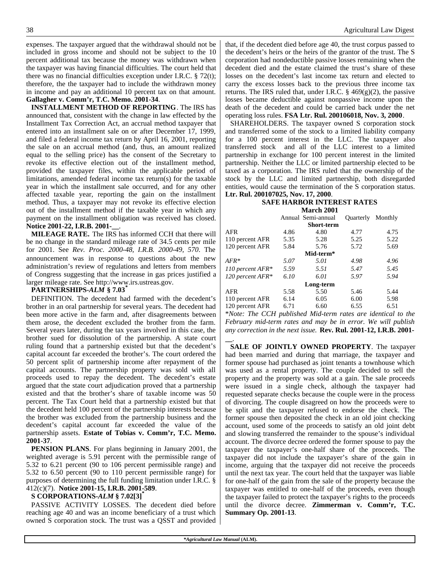expenses. The taxpayer argued that the withdrawal should not be included in gross income and should not be subject to the 10 percent additional tax because the money was withdrawn when the taxpayer was having financial difficulties. The court held that there was no financial difficulties exception under I.R.C.  $\S 72(t)$ ; therefore, the the taxpayer had to include the withdrawn money in income and pay an additional 10 percent tax on that amount. **Gallagher v. Comm'r, T.C. Memo. 2001-34**.

**INSTALLMENT METHOD OF REPORTING**. The IRS has announced that, consistent with the change in law effected by the Installment Tax Correction Act, an accrual method taxpayer that entered into an installment sale on or after December 17, 1999, and filed a federal income tax return by April 16, 2001, reporting the sale on an accrual method (and, thus, an amount realized equal to the selling price) has the consent of the Secretary to revoke its effective election out of the installment method, provided the taxpayer files, within the applicable period of limitations, amended federal income tax return(s) for the taxable year in which the installment sale occurred, and for any other affected taxable year, reporting the gain on the installment method. Thus, a taxpayer may not revoke its effective election out of the installment method if the taxable year in which any payment on the installment obligation was received has closed. **Notice 2001-22, I.R.B. 2001-\_\_**.

**MILEAGE RATE.** The IRS has informed CCH that there will be no change in the standard mileage rate of 34.5 cents per mile for 2001. See *Rev. Proc. 2000-48, I.R.B. 2000-49, 570*. The announcement was in response to questions about the new administration's review of regulations and letters from members of Congress suggesting that the increase in gas prices justified a larger mileage rate. See http://www.irs.ustreas.gov.

#### **PARTNERSHIPS-***ALM* **§ 7.03\***

DEFINITION. The decedent had farmed with the decedent's brother in an oral partnership for several years. The decedent had been more active in the farm and, after disagreements between them arose, the decedent excluded the brother from the farm. Several years later, during the tax years involved in this case, the brother sued for dissolution of the partnership. A state court ruling found that a partnership existed but that the decedent's capital account far exceeded the brother's. The court ordered the 50 percent split of partnership income after repayment of the capital accounts. The partnership property was sold with all proceeds used to repay the decedent. The decedent's estate argued that the state court adjudication proved that a partnership existed and that the brother's share of taxable income was 50 percent. The Tax Court held that a partnership existed but that the decedent held 100 percent of the partnership interests because the brother was excluded from the partnership business and the decedent's capital account far exceeded the value of the partnership assets. **Estate of Tobias v. Comm'r, T.C. Memo. 2001-37**.

**PENSION PLANS**. For plans beginning in January 2001, the weighted average is 5.91 percent with the permissible range of 5.32 to 6.21 percent (90 to 106 percent permissible range) and 5.32 to 6.50 percent (90 to 110 percent permissible range) for purposes of determining the full funding limitation under I.R.C. § 412(c)(7). **Notice 2001-15, I.R.B. 2001-589**.

#### **S CORPORATIONS-***ALM* **§ 7.02[3]\***

PASSIVE ACTIVITY LOSSES. The decedent died before reaching age 40 and was an income beneficiary of a trust which owned S corporation stock. The trust was a QSST and provided

that, if the decedent died before age 40, the trust corpus passed to the decedent's heirs or the heirs of the grantor of the trust. The S corporation had nondeductible passive losses remaining when the decedent died and the estate claimed the trust's share of these losses on the decedent's last income tax return and elected to carry the excess losses back to the previous three income tax returns. The IRS ruled that, under I.R.C.  $\S$  469(g)(2), the passive losses became deductible against nonpassive income upon the death of the decedent and could be carried back under the net operating loss rules. **FSA Ltr. Rul. 200106018, Nov. 3, 2000**.

SHAREHOLDERS. The taxpayer owned S corporation stock and transferred some of the stock to a limited liability company for a 100 percent interest in the LLC. The taxpayer also transferred stock and all of the LLC interest to a limited partnership in exchange for 100 percent interest in the limited partnership. Neither the LLC or limited partnership elected to be taxed as a corporation. The IRS ruled that the ownership of the stock by the LLC and limited partnership, both disregarded entities, would cause the termination of the S corporation status. **Ltr. Rul. 200107025, Nov. 17, 2000**.

#### **SAFE HARBOR INTEREST RATES March 2001**

| NIAFCII ZUUT     |      |                    |                   |      |  |  |  |
|------------------|------|--------------------|-------------------|------|--|--|--|
|                  |      | Annual Semi-annual | Quarterly Monthly |      |  |  |  |
|                  |      | <b>Short-term</b>  |                   |      |  |  |  |
| AFR              | 4.86 | 4.80               | 4.77              | 4.75 |  |  |  |
| 110 percent AFR  | 5.35 | 5.28               | 5.25              | 5.22 |  |  |  |
| 120 percent AFR  | 5.84 | 5.76               | 5.72              | 5.69 |  |  |  |
|                  |      | Mid-term*          |                   |      |  |  |  |
| $AFR*$           | 5.07 | 5.01               | 4.98              | 4.96 |  |  |  |
| 110 percent AFR* | 5.59 | 5.51               | 5.47              | 5.45 |  |  |  |
| 120 percent AFR* | 6.10 | 6.01               | 5.97              | 5.94 |  |  |  |
|                  |      | Long-term          |                   |      |  |  |  |
| AFR              | 5.58 | 5.50               | 5.46              | 5.44 |  |  |  |
| 110 percent AFR  | 6.14 | 6.05               | 6.00              | 5.98 |  |  |  |
| 120 percent AFR  | 6.71 | 6.60               | 6.55              | 6.51 |  |  |  |

\**Note: The CCH published Mid-term rates are identical to the February mid-term rates and may be in error. We will publish any correction in the next issue.* **Rev. Rul. 2001-12, I.R.B. 2001-**

**\_\_**. **SALE OF JOINTLY OWNED PROPERTY**. The taxpayer had been married and during that marriage, the taxpayer and former spouse had purchased as joint tenants a townhouse which was used as a rental property. The couple decided to sell the property and the property was sold at a gain. The sale proceeds were issued in a single check, although the taxpayer had requested separate checks because the couple were in the process of divorcing. The couple disagreed on how the proceeds were to be split and the taxpayer refused to endorse the check. The former spouse then deposited the check in an old joint checking account, used some of the proceeds to satisfy an old joint debt and slowing transferred the remainder to the spouse's individual account. The divorce decree ordered the former spouse to pay the taxpayer the taxpayer's one-half share of the proceeds. The taxpayer did not include the taxpayer's share of the gain in income, arguing that the taxpayer did not receive the proceeds until the next tax year. The court held that the taxpayer was liable for one-half of the gain from the sale of the property because the taxpayer was entitled to one-half of the proceeds, even though the taxpayer failed to protect the taxpayer's rights to the proceeds until the divorce decree. **Zimmerman v. Comm'r, T.C. Summary Op. 2001-13**.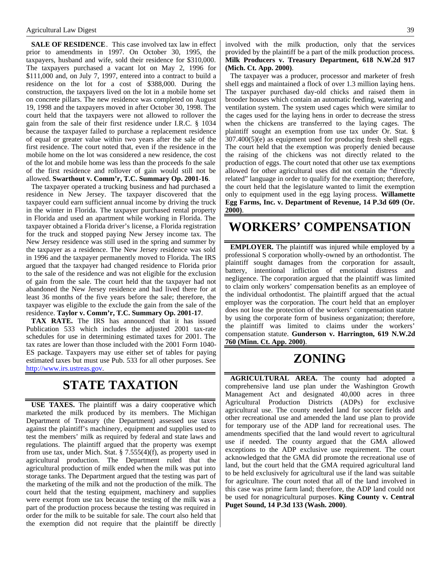**SALE OF RESIDENCE**. This case involved tax law in effect prior to amendments in 1997. On October 30, 1995, the taxpayers, husband and wife, sold their residence for \$310,000. The taxpayers purchased a vacant lot on May 2, 1996 for \$111,000 and, on July 7, 1997, entered into a contract to build a residence on the lot for a cost of \$388,000. During the construction, the taxpayers lived on the lot in a mobile home set on concrete pillars. The new residence was completed on August 19, 1998 and the taxpayers moved in after October 30, 1998. The court held that the taxpayers were not allowed to rollover the gain from the sale of their first residence under I.R.C. § 1034 because the taxpayer failed to purchase a replacement residence of equal or greater value within two years after the sale of the first residence. The court noted that, even if the residence in the mobile home on the lot was considered a new residence, the cost of the lot and mobile home was less than the proceeds fo the sale of the first residence and rollover of gain would still not be allowed. **Swarthout v. Comm'r, T.C. Summary Op. 2001-16**.

The taxpayer operated a trucking business and had purchased a residence in New Jersey. The taxpayer discovered that the taxpayer could earn sufficient annual income by driving the truck in the winter in Florida. The taxpayer purchased rental property in Florida and used an apartment while working in Florida. The taxpayer obtained a Florida driver's license, a Florida registration for the truck and stopped paying New Jersey income tax. The New Jersey residence was still used in the spring and summer by the taxpayer as a residence. The New Jersey residence was sold in 1996 and the taxpayer permanently moved to Florida. The IRS argued that the taxpayer had changed residence to Florida prior to the sale of the residence and was not eligible for the exclusion of gain from the sale. The court held that the taxpayer had not abandoned the New Jersey residence and had lived there for at least 36 months of the five years before the sale; therefore, the taxpayer was eligible to the exclude the gain from the sale of the residence. **Taylor v. Comm'r, T.C. Summary Op. 2001-17**.

**TAX RATE.** The IRS has announced that it has issued Publication 533 which includes the adjusted 2001 tax-rate schedules for use in determining estimated taxes for 2001. The tax rates are lower than those included with the 2001 Form 1040- ES package. Taxpayers may use either set of tables for paying estimated taxes but must use Pub. 533 for all other purposes. See http://www.irs.ustreas.gov.

### **STATE TAXATION**

**USE TAXES.** The plaintiff was a dairy cooperative which marketed the milk produced by its members. The Michigan Department of Treasury (the Department) assessed use taxes against the plaintiff's machinery, equipment and supplies used to test the members' milk as required by federal and state laws and regulations. The plaintiff argued that the property was exempt from use tax, under Mich. Stat.  $\S$  7.555(4)(f), as property used in agricultural production. The Department ruled that the agricultural production of milk ended when the milk was put into storage tanks. The Department argued that the testing was part of the marketing of the milk and not the production of the milk. The court held that the testing equipment, machinery and supplies were exempt from use tax because the testing of the milk was a part of the production process because the testing was required in order for the milk to be suitable for sale. The court also held that the exemption did not require that the plaintiff be directly involved with the milk production, only that the services provided by the plaintiff be a part of the milk production process. **Milk Producers v. Treasury Department, 618 N.W.2d 917 (Mich. Ct. App. 2000)**.

The taxpayer was a producer, processor and marketer of fresh shell eggs and maintained a flock of over 1.3 million laying hens. The taxpayer purchased day-old chicks and raised them in brooder houses which contain an automatic feeding, watering and ventilation system. The system used cages which were similar to the cages used for the laying hens in order to decrease the stress when the chickens are transferred to the laying cages. The plaintiff sought an exemption from use tax under Or. Stat. § 307.400(5)(e) as equipment used for producing fresh shell eggs. The court held that the exemption was properly denied because the raising of the chickens was not directly related to the production of eggs. The court noted that other use tax exemptions allowed for other agricultural uses did not contain the "directly related" language in order to qualify for the exemption; therefore, the court held that the legislature wanted to limit the exemption only to equipment used in the egg laying process. **Willamette Egg Farms, Inc. v. Department of Revenue, 14 P.3d 609 (Or. 2000)**.

### **WORKERS' COMPENSATION**

**EMPLOYER.** The plaintiff was injured while employed by a professional S corporation wholly-owned by an orthodontist. The plaintiff sought damages from the corporation for assault, battery, intentional infliction of emotional distress and negligence. The corporation argued that the plaintiff was limited to claim only workers' compensation benefits as an employee of the individual orthodontist. The plaintiff argued that the actual employer was the corporation. The court held that an employer does not lose the protection of the workers' compensation statute by using the corporate form of business organization; therefore, the plaintiff was limited to claims under the workers' compensation statute. **Gunderson v. Harrington, 619 N.W.2d 760 (Minn. Ct. App. 2000)**.

# **ZONING**

**AGRICULTURAL AREA.** The county had adopted a comprehensive land use plan under the Washington Growth Management Act and designated 40,000 acres in three Agricultural Production Districts (ADPs) for exclusive agricultural use. The county needed land for soccer fields and other recreational use and amended the land use plan to provide for temporary use of the ADP land for recreational uses. The amendments specified that the land would revert to agricultural use if needed. The county argued that the GMA allowed exceptions to the ADP exclusive use requirement. The court acknowledged that the GMA did promote the recreational use of land, but the court held that the GMA required agricultural land to be held exclusively for agricultural use if the land was suitable for agriculture. The court noted that all of the land involved in this case was prime farm land; therefore, the ADP land could not be used for nonagricultural purposes. **King County v. Central Puget Sound, 14 P.3d 133 (Wash. 2000)**.